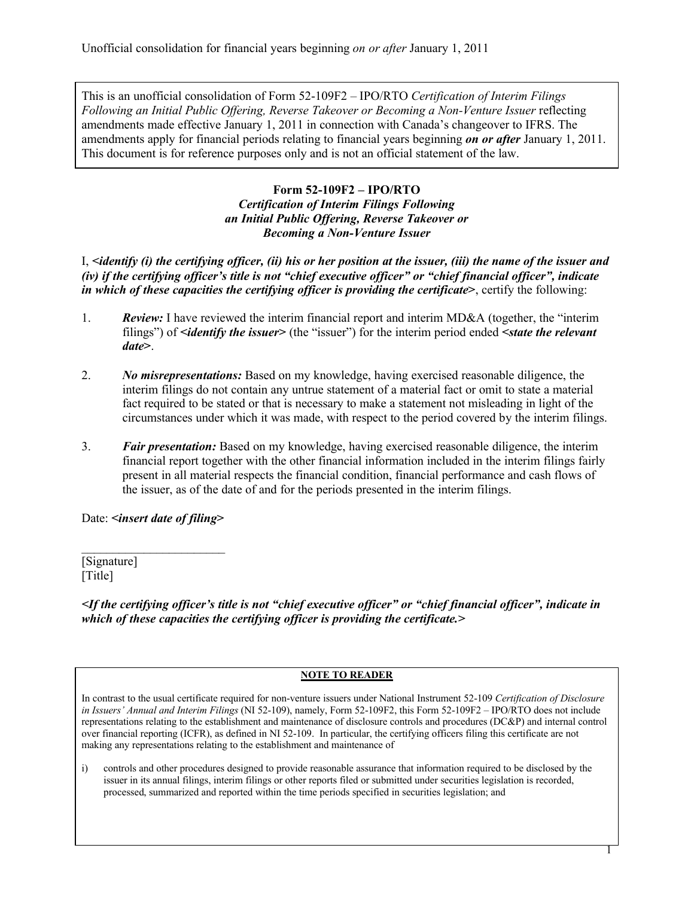This is an unofficial consolidation of Form 52-109F2 – IPO/RTO *Certification of Interim Filings Following an Initial Public Offering, Reverse Takeover or Becoming a Non-Venture Issuer* reflecting amendments made effective January 1, 2011 in connection with Canada's changeover to IFRS. The amendments apply for financial periods relating to financial years beginning *on or after* January 1, 2011. This document is for reference purposes only and is not an official statement of the law.

## **Form 52-109F2 – IPO/RTO** *Certification of Interim Filings Following an Initial Public Offering, Reverse Takeover or Becoming a Non-Venture Issuer*

I, **<***identify (i) the certifying officer, (ii) his or her position at the issuer, (iii) the name of the issuer and (iv) if the certifying officer's title is not "chief executive officer" or "chief financial officer", indicate in which of these capacities the certifying officer is providing the certificate***>**, certify the following:

- 1. **Review:** I have reviewed the interim financial report and interim MD&A (together, the "interim filings") of **<***identify the issuer***>** (the "issuer") for the interim period ended **<***state the relevant date***>**.
- 2. *No misrepresentations:* Based on my knowledge, having exercised reasonable diligence, the interim filings do not contain any untrue statement of a material fact or omit to state a material fact required to be stated or that is necessary to make a statement not misleading in light of the circumstances under which it was made, with respect to the period covered by the interim filings.
- 3. *Fair presentation:* Based on my knowledge, having exercised reasonable diligence, the interim financial report together with the other financial information included in the interim filings fairly present in all material respects the financial condition, financial performance and cash flows of the issuer, as of the date of and for the periods presented in the interim filings.

Date: **<***insert date of filing***>**

 $\mathcal{L}_\text{max}$  , where  $\mathcal{L}_\text{max}$ 

[Signature] [Title]

*<If the certifying officer's title is not "chief executive officer" or "chief financial officer", indicate in which of these capacities the certifying officer is providing the certificate.>*

## **NOTE TO READER**

In contrast to the usual certificate required for non-venture issuers under National Instrument 52-109 *Certification of Disclosure in Issuers' Annual and Interim Filings* (NI 52-109), namely, Form 52-109F2, this Form 52-109F2 – IPO/RTO does not include representations relating to the establishment and maintenance of disclosure controls and procedures (DC&P) and internal control over financial reporting (ICFR), as defined in NI 52-109. In particular, the certifying officers filing this certificate are not making any representations relating to the establishment and maintenance of

i) controls and other procedures designed to provide reasonable assurance that information required to be disclosed by the issuer in its annual filings, interim filings or other reports filed or submitted under securities legislation is recorded, processed, summarized and reported within the time periods specified in securities legislation; and